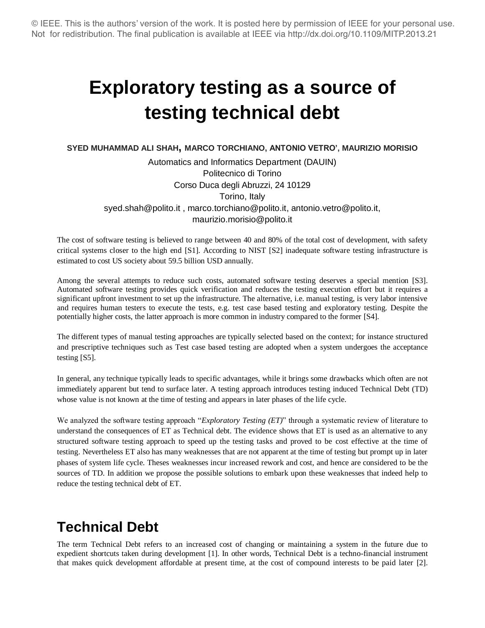# **Exploratory testing as a source of testing technical debt**

**SYED MUHAMMAD ALI SHAH, MARCO TORCHIANO, ANTONIO VETRO', MAURIZIO MORISIO**

Automatics and Informatics Department (DAUIN) Politecnico di Torino Corso Duca degli Abruzzi, 24 10129 Torino, Italy syed.shah@polito.it , marco.torchiano@polito.it, antonio.vetro@polito.it, maurizio.morisio@polito.it

The cost of software testing is believed to range between 40 and 80% of the total cost of development, with safety critical systems closer to the high end [S1]. According to NIST [S2] inadequate software testing infrastructure is estimated to cost US society about 59.5 billion USD annually.

Among the several attempts to reduce such costs, automated software testing deserves a special mention [S3]. Automated software testing provides quick verification and reduces the testing execution effort but it requires a significant upfront investment to set up the infrastructure. The alternative, i.e. manual testing, is very labor intensive and requires human testers to execute the tests, e.g. test case based testing and exploratory testing. Despite the potentially higher costs, the latter approach is more common in industry compared to the former [S4].

The different types of manual testing approaches are typically selected based on the context; for instance structured and prescriptive techniques such as Test case based testing are adopted when a system undergoes the acceptance testing [S5].

In general, any technique typically leads to specific advantages, while it brings some drawbacks which often are not immediately apparent but tend to surface later. A testing approach introduces testing induced Technical Debt (TD) whose value is not known at the time of testing and appears in later phases of the life cycle.

We analyzed the software testing approach "*Exploratory Testing* (*ET*)" through a systematic review of literature to understand the consequences of ET as Technical debt. The evidence shows that ET is used as an alternative to any structured software testing approach to speed up the testing tasks and proved to be cost effective at the time of testing. Nevertheless ET also has many weaknesses that are not apparent at the time of testing but prompt up in later phases of system life cycle. Theses weaknesses incur increased rework and cost, and hence are considered to be the sources of TD. In addition we propose the possible solutions to embark upon these weaknesses that indeed help to reduce the testing technical debt of ET.

## **Technical Debt**

The term Technical Debt refers to an increased cost of changing or maintaining a system in the future due to expedient shortcuts taken during development [1]. In other words, Technical Debt is a techno-financial instrument that makes quick development affordable at present time, at the cost of compound interests to be paid later [2].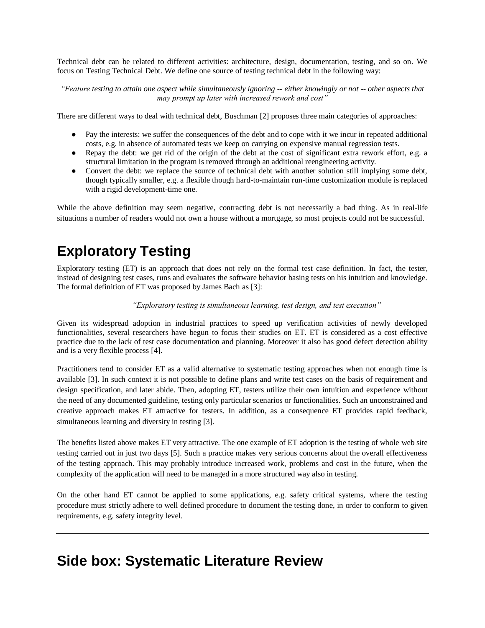Technical debt can be related to different activities: architecture, design, documentation, testing, and so on. We focus on Testing Technical Debt. We define one source of testing technical debt in the following way:

*"Feature testing to attain one aspect while simultaneously ignoring -- either knowingly or not -- other aspects that may prompt up later with increased rework and cost"*

There are different ways to deal with technical debt, Buschman [2] proposes three main categories of approaches:

- Pay the interests: we suffer the consequences of the debt and to cope with it we incur in repeated additional costs, e.g. in absence of automated tests we keep on carrying on expensive manual regression tests.
- Repay the debt: we get rid of the origin of the debt at the cost of significant extra rework effort, e.g. a structural limitation in the program is removed through an additional reengineering activity.
- Convert the debt: we replace the source of technical debt with another solution still implying some debt, though typically smaller, e.g. a flexible though hard-to-maintain run-time customization module is replaced with a rigid development-time one.

While the above definition may seem negative, contracting debt is not necessarily a bad thing. As in real-life situations a number of readers would not own a house without a mortgage, so most projects could not be successful.

## **Exploratory Testing**

Exploratory testing (ET) is an approach that does not rely on the formal test case definition. In fact, the tester, instead of designing test cases, runs and evaluates the software behavior basing tests on his intuition and knowledge. The formal definition of ET was proposed by James Bach as [3]:

*"Exploratory testing is simultaneous learning, test design, and test execution"*

Given its widespread adoption in industrial practices to speed up verification activities of newly developed functionalities, several researchers have begun to focus their studies on ET. ET is considered as a cost effective practice due to the lack of test case documentation and planning. Moreover it also has good defect detection ability and is a very flexible process [4].

Practitioners tend to consider ET as a valid alternative to systematic testing approaches when not enough time is available [3]. In such context it is not possible to define plans and write test cases on the basis of requirement and design specification, and later abide. Then, adopting ET, testers utilize their own intuition and experience without the need of any documented guideline, testing only particular scenarios or functionalities. Such an unconstrained and creative approach makes ET attractive for testers. In addition, as a consequence ET provides rapid feedback, simultaneous learning and diversity in testing [3].

The benefits listed above makes ET very attractive. The one example of ET adoption is the testing of whole web site testing carried out in just two days [5]. Such a practice makes very serious concerns about the overall effectiveness of the testing approach. This may probably introduce increased work, problems and cost in the future, when the complexity of the application will need to be managed in a more structured way also in testing.

On the other hand ET cannot be applied to some applications, e.g. safety critical systems, where the testing procedure must strictly adhere to well defined procedure to document the testing done, in order to conform to given requirements, e.g. safety integrity level.

### **Side box: Systematic Literature Review**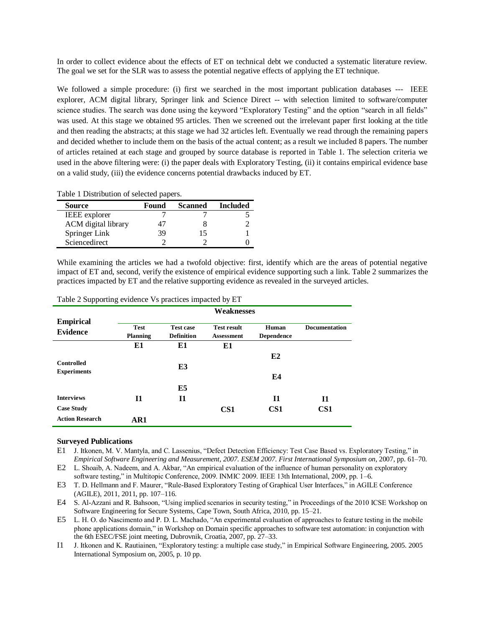In order to collect evidence about the effects of ET on technical debt we conducted a systematic literature review. The goal we set for the SLR was to assess the potential negative effects of applying the ET technique.

We followed a simple procedure: (i) first we searched in the most important publication databases --- IEEE explorer, ACM digital library, Springer link and Science Direct -- with selection limited to software/computer science studies. The search was done using the keyword "Exploratory Testing" and the option "search in all fields" was used. At this stage we obtained 95 articles. Then we screened out the irrelevant paper first looking at the title and then reading the abstracts; at this stage we had 32 articles left. Eventually we read through the remaining papers and decided whether to include them on the basis of the actual content; as a result we included 8 papers. The number of articles retained at each stage and grouped by source database is reported in [Table 1.](#page-2-0) The selection criteria we used in the above filtering were: (i) the paper deals with Exploratory Testing, (ii) it contains empirical evidence base on a valid study, (iii) the evidence concerns potential drawbacks induced by ET.

<span id="page-2-0"></span>Table 1 Distribution of selected papers.

| <b>Source</b>        | Found | <b>Scanned</b> | <b>Included</b> |
|----------------------|-------|----------------|-----------------|
| <b>IEEE</b> explorer |       |                |                 |
| ACM digital library  |       |                |                 |
| Springer Link        | 39    |                |                 |
| Sciencedirect        |       |                |                 |

While examining the articles we had a twofold objective: first, identify which are the areas of potential negative impact of ET and, second, verify the existence of empirical evidence supporting such a link. [Table 2](#page-2-1) summarizes the practices impacted by ET and the relative supporting evidence as revealed in the surveyed articles.

|                        | Weaknesses                     |                                       |                    |                            |                      |  |
|------------------------|--------------------------------|---------------------------------------|--------------------|----------------------------|----------------------|--|
| <b>Empirical</b>       |                                |                                       | <b>Test result</b> |                            |                      |  |
| <b>Evidence</b>        | <b>Test</b><br><b>Planning</b> | <b>Test case</b><br><b>Definition</b> | <b>Assessment</b>  | Human<br><b>Dependence</b> | <b>Documentation</b> |  |
|                        | E1                             | E1                                    | E1                 |                            |                      |  |
|                        |                                |                                       |                    | E2                         |                      |  |
| <b>Controlled</b>      |                                | E3                                    |                    |                            |                      |  |
| <b>Experiments</b>     |                                |                                       |                    | E4                         |                      |  |
|                        |                                | E5                                    |                    |                            |                      |  |
| <b>Interviews</b>      | 11                             | <b>I1</b>                             |                    | I <sub>1</sub>             | I <sub>1</sub>       |  |
| <b>Case Study</b>      |                                |                                       | CS <sub>1</sub>    | CS <sub>1</sub>            | CS <sub>1</sub>      |  |
| <b>Action Research</b> | AR1                            |                                       |                    |                            |                      |  |

<span id="page-2-1"></span>Table 2 Supporting evidence Vs practices impacted by ET

#### **Surveyed Publications**

- E1 J. Itkonen, M. V. Mantyla, and C. Lassenius, "Defect Detection Efficiency: Test Case Based vs. Exploratory Testing," in *Empirical Software Engineering and Measurement, 2007. ESEM 2007. First International Symposium on*, 2007, pp. 61–70.
- E2 L. Shoaib, A. Nadeem, and A. Akbar, "An empirical evaluation of the influence of human personality on exploratory software testing," in Multitopic Conference, 2009. INMIC 2009. IEEE 13th International, 2009, pp. 1–6.
- E3 T. D. Hellmann and F. Maurer, "Rule-Based Exploratory Testing of Graphical User Interfaces," in AGILE Conference (AGILE), 2011, 2011, pp. 107–116.
- E4 S. Al-Azzani and R. Bahsoon, "Using implied scenarios in security testing," in Proceedings of the 2010 ICSE Workshop on Software Engineering for Secure Systems, Cape Town, South Africa, 2010, pp. 15–21.
- E5 L. H. O. do Nascimento and P. D. L. Machado, "An experimental evaluation of approaches to feature testing in the mobile phone applications domain," in Workshop on Domain specific approaches to software test automation: in conjunction with the 6th ESEC/FSE joint meeting, Dubrovnik, Croatia, 2007, pp. 27–33.
- I1 J. Itkonen and K. Rautiainen, "Exploratory testing: a multiple case study," in Empirical Software Engineering, 2005. 2005 International Symposium on, 2005, p. 10 pp.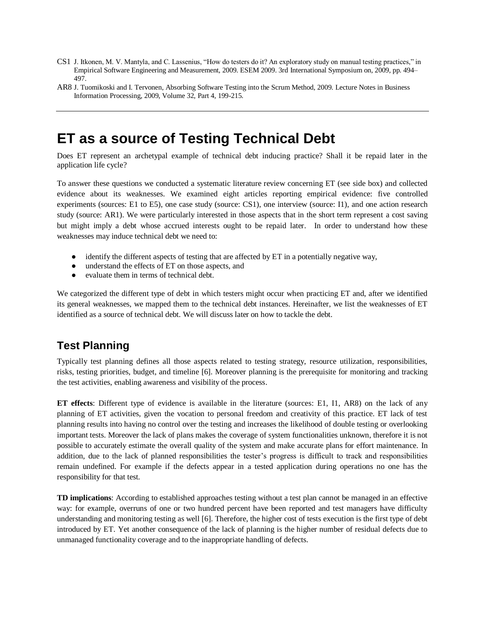- CS1 J. Itkonen, M. V. Mantyla, and C. Lassenius, "How do testers do it? An exploratory study on manual testing practices," in Empirical Software Engineering and Measurement, 2009. ESEM 2009. 3rd International Symposium on, 2009, pp. 494– 497.
- AR8 [J. Tuomikoski](http://www.springerlink.com/content/?Author=Janne+Tuomikoski) an[d I. Tervonen,](http://www.springerlink.com/content/?Author=Ilkka+Tervonen) Absorbing Software Testing into the Scrum Method, 2009. [Lecture Notes in Business](http://www.springerlink.com/content/1865-1348/)  [Information Processing,](http://www.springerlink.com/content/1865-1348/) 2009, Volume 32, Part 4, 199-215.

### **ET as a source of Testing Technical Debt**

Does ET represent an archetypal example of technical debt inducing practice? Shall it be repaid later in the application life cycle?

To answer these questions we conducted a systematic literature review concerning ET (see side box) and collected evidence about its weaknesses. We examined eight articles reporting empirical evidence: five controlled experiments (sources: E1 to E5), one case study (source: CS1), one interview (source: I1), and one action research study (source: AR1). We were particularly interested in those aspects that in the short term represent a cost saving but might imply a debt whose accrued interests ought to be repaid later. In order to understand how these weaknesses may induce technical debt we need to:

- identify the different aspects of testing that are affected by ET in a potentially negative way,
- understand the effects of ET on those aspects, and
- evaluate them in terms of technical debt.

We categorized the different type of debt in which testers might occur when practicing ET and, after we identified its general weaknesses, we mapped them to the technical debt instances. Hereinafter, we list the weaknesses of ET identified as a source of technical debt. We will discuss later on how to tackle the debt.

### **Test Planning**

Typically test planning defines all those aspects related to testing strategy, resource utilization, responsibilities, risks, testing priorities, budget, and timeline [6]. Moreover planning is the prerequisite for monitoring and tracking the test activities, enabling awareness and visibility of the process.

**ET effects**: Different type of evidence is available in the literature (sources: E1, I1, AR8) on the lack of any planning of ET activities, given the vocation to personal freedom and creativity of this practice. ET lack of test planning results into having no control over the testing and increases the likelihood of double testing or overlooking important tests. Moreover the lack of plans makes the coverage of system functionalities unknown, therefore it is not possible to accurately estimate the overall quality of the system and make accurate plans for effort maintenance. In addition, due to the lack of planned responsibilities the tester's progress is difficult to track and responsibilities remain undefined. For example if the defects appear in a tested application during operations no one has the responsibility for that test.

**TD implications**: According to established approaches testing without a test plan cannot be managed in an effective way: for example, overruns of one or two hundred percent have been reported and test managers have difficulty understanding and monitoring testing as well [6]. Therefore, the higher cost of tests execution is the first type of debt introduced by ET. Yet another consequence of the lack of planning is the higher number of residual defects due to unmanaged functionality coverage and to the inappropriate handling of defects.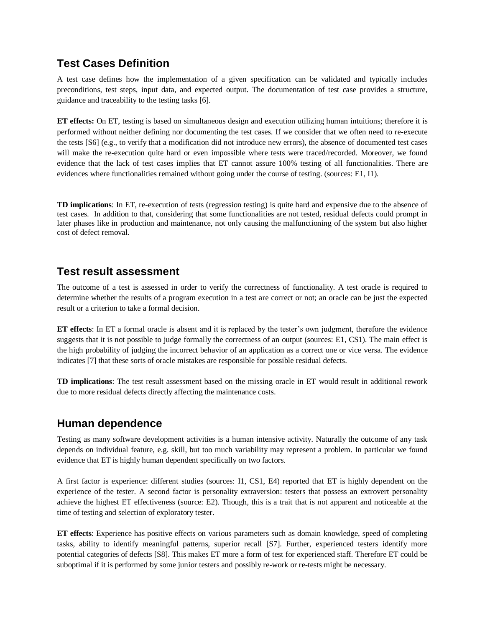#### **Test Cases Definition**

A test case defines how the implementation of a given specification can be validated and typically includes preconditions, test steps, input data, and expected output. The documentation of test case provides a structure, guidance and traceability to the testing tasks [6].

**ET effects:** On ET, testing is based on simultaneous design and execution utilizing human intuitions; therefore it is performed without neither defining nor documenting the test cases. If we consider that we often need to re-execute the tests [S6] (e.g., to verify that a modification did not introduce new errors), the absence of documented test cases will make the re-execution quite hard or even impossible where tests were traced/recorded. Moreover, we found evidence that the lack of test cases implies that ET cannot assure 100% testing of all functionalities. There are evidences where functionalities remained without going under the course of testing. (sources: E1, I1).

**TD implications**: In ET, re-execution of tests (regression testing) is quite hard and expensive due to the absence of test cases. In addition to that, considering that some functionalities are not tested, residual defects could prompt in later phases like in production and maintenance, not only causing the malfunctioning of the system but also higher cost of defect removal.

#### **Test result assessment**

The outcome of a test is assessed in order to verify the correctness of functionality. A test oracle is required to determine whether the results of a program execution in a test are correct or not; an oracle can be just the expected result or a criterion to take a formal decision.

**ET effects**: In ET a formal oracle is absent and it is replaced by the tester's own judgment, therefore the evidence suggests that it is not possible to judge formally the correctness of an output (sources: E1, CS1). The main effect is the high probability of judging the incorrect behavior of an application as a correct one or vice versa. The evidence indicates [7] that these sorts of oracle mistakes are responsible for possible residual defects.

**TD implications**: The test result assessment based on the missing oracle in ET would result in additional rework due to more residual defects directly affecting the maintenance costs.

#### **Human dependence**

Testing as many software development activities is a human intensive activity. Naturally the outcome of any task depends on individual feature, e.g. skill, but too much variability may represent a problem. In particular we found evidence that ET is highly human dependent specifically on two factors.

A first factor is experience: different studies (sources: I1, CS1, E4) reported that ET is highly dependent on the experience of the tester. A second factor is personality extraversion: testers that possess an extrovert personality achieve the highest ET effectiveness (source: E2). Though, this is a trait that is not apparent and noticeable at the time of testing and selection of exploratory tester.

**ET effects**: Experience has positive effects on various parameters such as domain knowledge, speed of completing tasks, ability to identify meaningful patterns, superior recall [S7]. Further, experienced testers identify more potential categories of defects [S8]. This makes ET more a form of test for experienced staff. Therefore ET could be suboptimal if it is performed by some junior testers and possibly re-work or re-tests might be necessary.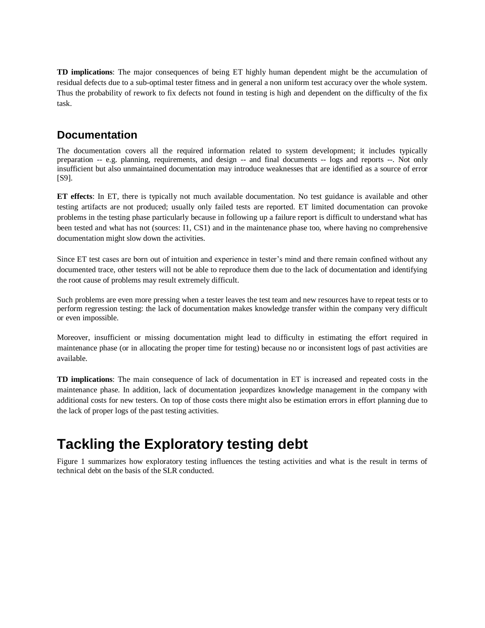**TD implications**: The major consequences of being ET highly human dependent might be the accumulation of residual defects due to a sub-optimal tester fitness and in general a non uniform test accuracy over the whole system. Thus the probability of rework to fix defects not found in testing is high and dependent on the difficulty of the fix task.

#### **Documentation**

The documentation covers all the required information related to system development; it includes typically preparation -- e.g. planning, requirements, and design -- and final documents -- logs and reports --. Not only insufficient but also unmaintained documentation may introduce weaknesses that are identified as a source of error [S9].

**ET effects**: In ET, there is typically not much available documentation. No test guidance is available and other testing artifacts are not produced; usually only failed tests are reported. ET limited documentation can provoke problems in the testing phase particularly because in following up a failure report is difficult to understand what has been tested and what has not (sources: I1, CS1) and in the maintenance phase too, where having no comprehensive documentation might slow down the activities.

Since ET test cases are born out of intuition and experience in tester's mind and there remain confined without any documented trace, other testers will not be able to reproduce them due to the lack of documentation and identifying the root cause of problems may result extremely difficult.

Such problems are even more pressing when a tester leaves the test team and new resources have to repeat tests or to perform regression testing: the lack of documentation makes knowledge transfer within the company very difficult or even impossible.

Moreover, insufficient or missing documentation might lead to difficulty in estimating the effort required in maintenance phase (or in allocating the proper time for testing) because no or inconsistent logs of past activities are available.

**TD implications**: The main consequence of lack of documentation in ET is increased and repeated costs in the maintenance phase. In addition, lack of documentation jeopardizes knowledge management in the company with additional costs for new testers. On top of those costs there might also be estimation errors in effort planning due to the lack of proper logs of the past testing activities.

### **Tackling the Exploratory testing debt**

[Figure 1](#page-6-0) summarizes how exploratory testing influences the testing activities and what is the result in terms of technical debt on the basis of the SLR conducted.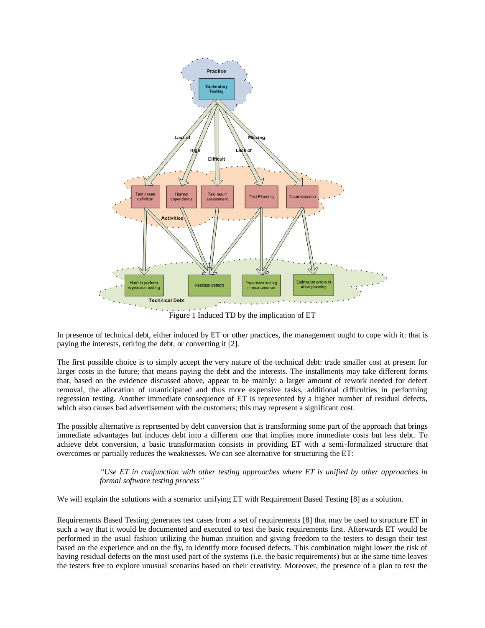

Figure 1 Induced TD by the implication of ET

<span id="page-6-0"></span>In presence of technical debt, either induced by ET or other practices, the management ought to cope with it: that is paying the interests, retiring the debt, or converting it [2].

The first possible choice is to simply accept the very nature of the technical debt: trade smaller cost at present for larger costs in the future; that means paying the debt and the interests. The installments may take different forms that, based on the evidence discussed above, appear to be mainly: a larger amount of rework needed for defect removal, the allocation of unanticipated and thus more expensive tasks, additional difficulties in performing regression testing. Another immediate consequence of ET is represented by a higher number of residual defects, which also causes bad advertisement with the customers; this may represent a significant cost.

The possible alternative is represented by debt conversion that is transforming some part of the approach that brings immediate advantages but induces debt into a different one that implies more immediate costs but less debt. To achieve debt conversion, a basic transformation consists in providing ET with a semi-formalized structure that overcomes or partially reduces the weaknesses. We can see alternative for structuring the ET:

> *"Use ET in conjunction with other testing approaches where ET is unified by other approaches in formal software testing process"*

We will explain the solutions with a scenario: unifying ET with Requirement Based Testing [8] as a solution.

Requirements Based Testing generates test cases from a set of requirements [8] that may be used to structure ET in such a way that it would be documented and executed to test the basic requirements first. Afterwards ET would be performed in the usual fashion utilizing the human intuition and giving freedom to the testers to design their test based on the experience and on the fly, to identify more focused defects. This combination might lower the risk of having residual defects on the most used part of the systems (i.e. the basic requirements) but at the same time leaves the testers free to explore unusual scenarios based on their creativity. Moreover, the presence of a plan to test the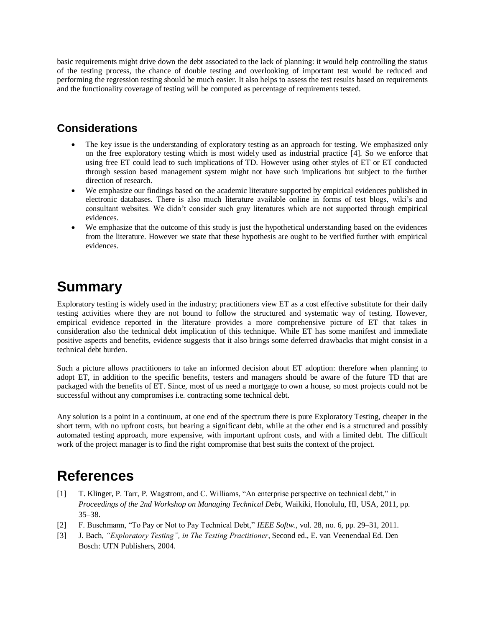basic requirements might drive down the debt associated to the lack of planning: it would help controlling the status of the testing process, the chance of double testing and overlooking of important test would be reduced and performing the regression testing should be much easier. It also helps to assess the test results based on requirements and the functionality coverage of testing will be computed as percentage of requirements tested.

### **Considerations**

- The key issue is the understanding of exploratory testing as an approach for testing. We emphasized only on the free exploratory testing which is most widely used as industrial practice [4]. So we enforce that using free ET could lead to such implications of TD. However using other styles of ET or ET conducted through session based management system might not have such implications but subject to the further direction of research.
- We emphasize our findings based on the academic literature supported by empirical evidences published in electronic databases. There is also much literature available online in forms of test blogs, wiki's and consultant websites. We didn't consider such gray literatures which are not supported through empirical evidences.
- We emphasize that the outcome of this study is just the hypothetical understanding based on the evidences from the literature. However we state that these hypothesis are ought to be verified further with empirical evidences.

## **Summary**

Exploratory testing is widely used in the industry; practitioners view ET as a cost effective substitute for their daily testing activities where they are not bound to follow the structured and systematic way of testing. However, empirical evidence reported in the literature provides a more comprehensive picture of ET that takes in consideration also the technical debt implication of this technique. While ET has some manifest and immediate positive aspects and benefits, evidence suggests that it also brings some deferred drawbacks that might consist in a technical debt burden.

Such a picture allows practitioners to take an informed decision about ET adoption: therefore when planning to adopt ET, in addition to the specific benefits, testers and managers should be aware of the future TD that are packaged with the benefits of ET. Since, most of us need a mortgage to own a house, so most projects could not be successful without any compromises i.e. contracting some technical debt.

Any solution is a point in a continuum, at one end of the spectrum there is pure Exploratory Testing, cheaper in the short term, with no upfront costs, but bearing a significant debt, while at the other end is a structured and possibly automated testing approach, more expensive, with important upfront costs, and with a limited debt. The difficult work of the project manager is to find the right compromise that best suits the context of the project.

### **References**

- [1] T. Klinger, P. Tarr, P. Wagstrom, and C. Williams, "An enterprise perspective on technical debt," in *Proceedings of the 2nd Workshop on Managing Technical Debt*, Waikiki, Honolulu, HI, USA, 2011, pp. 35–38.
- [2] F. Buschmann, "To Pay or Not to Pay Technical Debt," IEEE Softw., vol. 28, no. 6, pp. 29–31, 2011.
- [3] J. Bach, *"Exploratory Testing", in The Testing Practitioner*, Second ed., E. van Veenendaal Ed. Den Bosch: UTN Publishers, 2004.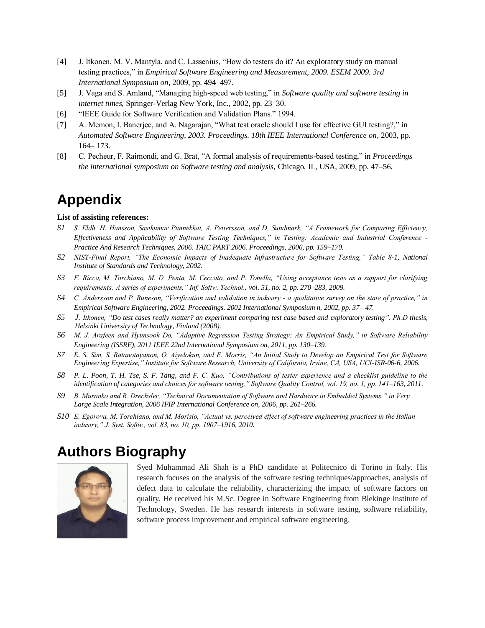- [4] J. Itkonen, M. V. Mantyla, and C. Lassenius, "How do testers do it? An exploratory study on manual testing practices,‖ in *Empirical Software Engineering and Measurement, 2009. ESEM 2009. 3rd International Symposium on*, 2009, pp. 494–497.
- [5] J. Vaga and S. Amland, "Managing high-speed web testing," in *Software quality and software testing in internet times*, Springer-Verlag New York, Inc., 2002, pp. 23–30.
- [6] "IEEE Guide for Software Verification and Validation Plans." 1994.
- [7] A. Memon, I. Banerjee, and A. Nagarajan, "What test oracle should I use for effective GUI testing?," in *Automated Software Engineering, 2003. Proceedings. 18th IEEE International Conference on*, 2003, pp. 164– 173.
- [8] C. Pecheur, F. Raimondi, and G. Brat, "A formal analysis of requirements-based testing," in *Proceedings the international symposium on Software testing and analysis*, Chicago, IL, USA, 2009, pp. 47–56.

### **Appendix**

#### **List of assisting references:**

- *S1 S. Eldh, H. Hansson, Sasikumar Punnekkat, A. Pettersson, and D. Sundmark, "A Framework for Comparing Efficiency, Effectiveness and Applicability of Software Testing Techniques," in Testing: Academic and Industrial Conference - Practice And Research Techniques, 2006. TAIC PART 2006. Proceedings, 2006, pp. 159–170.*
- *S2 NIST-Final Report, "The Economic Impacts of Inadequate Infrastructure for Software Testing," Table 8-1, National Institute of Standards and Technology, 2002.*
- *S3 F. Ricca, M. Torchiano, M. D. Penta, M. Ceccato, and P. Tonella, "Using acceptance tests as a support for clarifying requirements: A series of experiments," Inf. Softw. Technol., vol. 51, no. 2, pp. 270–283, 2009.*
- *S4 C. Andersson and P. Runeson, "Verification and validation in industry - a qualitative survey on the state of practice," in Empirical Software Engineering, 2002. Proceedings. 2002 International Symposium n, 2002, pp. 37– 47.*
- *S5 J. Itkonen, "Do test cases really matter? an experiment comparing test case based and exploratory testing". Ph.D thesis, Helsinki University of Technology, Finland (2008).*
- *S6 M. J. Arafeen and Hyunsook Do, "Adaptive Regression Testing Strategy: An Empirical Study," in Software Reliability Engineering (ISSRE), 2011 IEEE 22nd International Symposium on, 2011, pp. 130–139.*
- *S7 E. S. Sim, S. Ratanotayanon, O. Aiyelokun, and E. Morris, "An Initial Study to Develop an Empirical Test for Software Engineering Expertise," Institute for Software Research, University of California, Irvine, CA, USA, UCI-ISR-06-6, 2006.*
- *S8 P. L. Poon, T. H. Tse, S. F. Tang, and F. C. Kuo, "Contributions of tester experience and a checklist guideline to the identification of categories and choices for software testing," Software Quality Control, vol. 19, no. 1, pp. 141–163, 2011.*
- *S9 B. Muranko and R. Drechsler, "Technical Documentation of Software and Hardware in Embedded Systems," in Very Large Scale Integration, 2006 IFIP International Conference on, 2006, pp. 261–266.*
- *S10 E. Egorova, M. Torchiano, and M. Morisio, "Actual vs. perceived effect of software engineering practices in the Italian industry," J. Syst. Softw., vol. 83, no. 10, pp. 1907–1916, 2010.*

### **Authors Biography**



Syed Muhammad Ali Shah is a PhD candidate at Politecnico di Torino in Italy. His research focuses on the analysis of the software testing techniques/approaches, analysis of defect data to calculate the reliability, characterizing the impact of software factors on quality. He received his M.Sc. Degree in Software Engineering from Blekinge Institute of Technology, Sweden. He has research interests in software testing, software reliability, software process improvement and empirical software engineering.